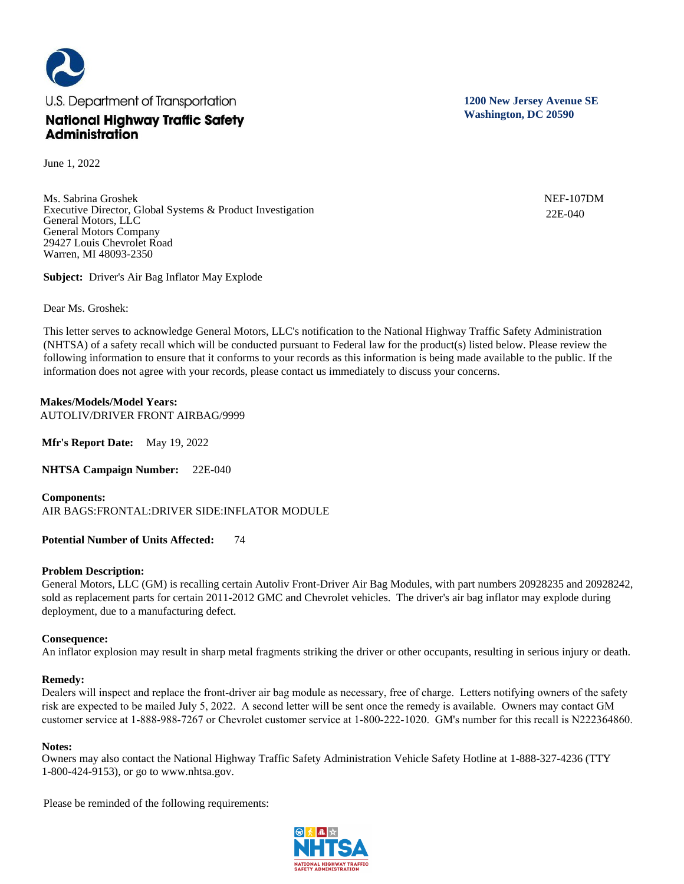

June 1, 2022

Ms. Sabrina Groshek Executive Director, Global Systems & Product Investigation General Motors, LLC General Motors Company 29427 Louis Chevrolet Road Warren, MI 48093-2350

**Subject:** Driver's Air Bag Inflator May Explode

Dear Ms. Groshek:

This letter serves to acknowledge General Motors, LLC's notification to the National Highway Traffic Safety Administration (NHTSA) of a safety recall which will be conducted pursuant to Federal law for the product(s) listed below. Please review the following information to ensure that it conforms to your records as this information is being made available to the public. If the information does not agree with your records, please contact us immediately to discuss your concerns.

# **Makes/Models/Model Years:**

AUTOLIV/DRIVER FRONT AIRBAG/9999

**Mfr's Report Date:** May 19, 2022

**NHTSA Campaign Number:** 22E-040

**Components:**  AIR BAGS:FRONTAL:DRIVER SIDE:INFLATOR MODULE

**Potential Number of Units Affected:** 74

## **Problem Description:**

General Motors, LLC (GM) is recalling certain Autoliv Front-Driver Air Bag Modules, with part numbers 20928235 and 20928242, sold as replacement parts for certain 2011-2012 GMC and Chevrolet vehicles. The driver's air bag inflator may explode during deployment, due to a manufacturing defect.

## **Consequence:**

An inflator explosion may result in sharp metal fragments striking the driver or other occupants, resulting in serious injury or death.

## **Remedy:**

Dealers will inspect and replace the front-driver air bag module as necessary, free of charge. Letters notifying owners of the safety risk are expected to be mailed July 5, 2022. A second letter will be sent once the remedy is available. Owners may contact GM customer service at 1-888-988-7267 or Chevrolet customer service at 1-800-222-1020. GM's number for this recall is N222364860.

## **Notes:**

Owners may also contact the National Highway Traffic Safety Administration Vehicle Safety Hotline at 1-888-327-4236 (TTY 1-800-424-9153), or go to www.nhtsa.gov.

Please be reminded of the following requirements:



**1200 New Jersey Avenue SE Washington, DC 20590**

> NEF-107DM 22E-040